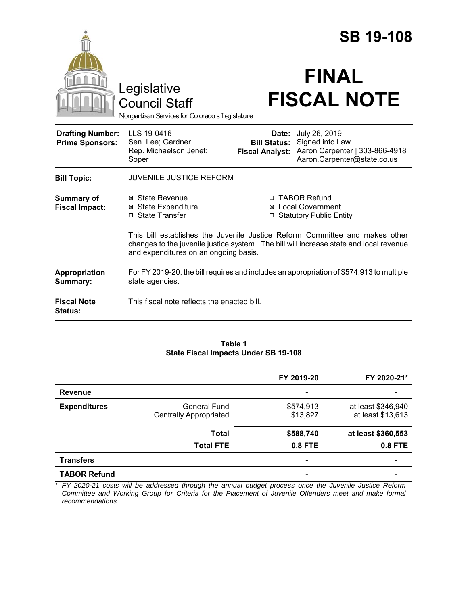|                                                                                        |                                                                                                                                                                                                                | <b>SB 19-108</b>                                       |                                                                                                   |  |
|----------------------------------------------------------------------------------------|----------------------------------------------------------------------------------------------------------------------------------------------------------------------------------------------------------------|--------------------------------------------------------|---------------------------------------------------------------------------------------------------|--|
| Legislative<br><b>Council Staff</b><br>Nonpartisan Services for Colorado's Legislature |                                                                                                                                                                                                                | <b>FINAL</b><br><b>FISCAL NOTE</b>                     |                                                                                                   |  |
| <b>Drafting Number:</b><br><b>Prime Sponsors:</b>                                      | LLS 19-0416<br>Sen. Lee; Gardner<br>Rep. Michaelson Jenet;<br>Soper                                                                                                                                            | Date:<br><b>Bill Status:</b><br><b>Fiscal Analyst:</b> | July 26, 2019<br>Signed into Law<br>Aaron Carpenter   303-866-4918<br>Aaron.Carpenter@state.co.us |  |
| <b>Bill Topic:</b>                                                                     | <b>JUVENILE JUSTICE REFORM</b>                                                                                                                                                                                 |                                                        |                                                                                                   |  |
| <b>Summary of</b><br><b>Fiscal Impact:</b>                                             | ⊠ State Revenue<br><b>State Expenditure</b><br>Ø<br>□ State Transfer                                                                                                                                           | ⊠<br>$\Box$                                            | □ TABOR Refund<br><b>Local Government</b><br><b>Statutory Public Entity</b>                       |  |
|                                                                                        | This bill establishes the Juvenile Justice Reform Committee and makes other<br>changes to the juvenile justice system. The bill will increase state and local revenue<br>and expenditures on an ongoing basis. |                                                        |                                                                                                   |  |
| Appropriation<br>Summary:                                                              | For FY 2019-20, the bill requires and includes an appropriation of \$574,913 to multiple<br>state agencies.                                                                                                    |                                                        |                                                                                                   |  |
| <b>Fiscal Note</b><br>Status:                                                          | This fiscal note reflects the enacted bill.                                                                                                                                                                    |                                                        |                                                                                                   |  |

#### **Table 1 State Fiscal Impacts Under SB 19-108**

|                     |                               | FY 2019-20                   | FY 2020-21*        |
|---------------------|-------------------------------|------------------------------|--------------------|
| <b>Revenue</b>      |                               | $\qquad \qquad \blacksquare$ |                    |
| <b>Expenditures</b> | <b>General Fund</b>           | \$574,913                    | at least \$346,940 |
|                     | <b>Centrally Appropriated</b> | \$13,827                     | at least \$13,613  |
|                     | <b>Total</b>                  | \$588,740                    | at least \$360,553 |
|                     | <b>Total FTE</b>              | 0.8 FTE                      | 0.8 FTE            |
| <b>Transfers</b>    |                               | $\overline{\phantom{a}}$     |                    |
| <b>TABOR Refund</b> |                               | $\overline{\phantom{a}}$     |                    |

*\* FY 2020-21 costs will be addressed through the annual budget process once the Juvenile Justice Reform Committee and Working Group for Criteria for the Placement of Juvenile Offenders meet and make formal recommendations.*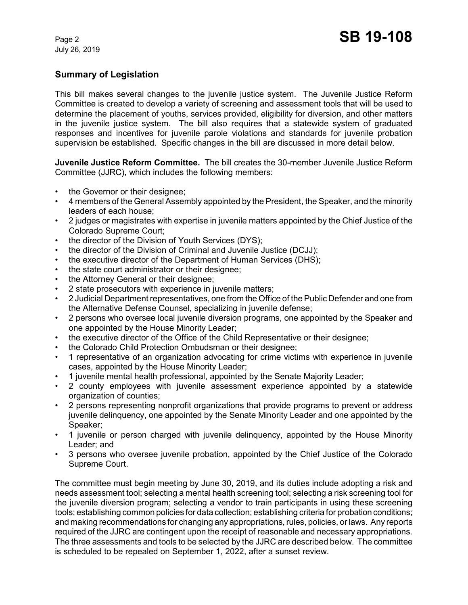# **Summary of Legislation**

This bill makes several changes to the juvenile justice system. The Juvenile Justice Reform Committee is created to develop a variety of screening and assessment tools that will be used to determine the placement of youths, services provided, eligibility for diversion, and other matters in the juvenile justice system. The bill also requires that a statewide system of graduated responses and incentives for juvenile parole violations and standards for juvenile probation supervision be established. Specific changes in the bill are discussed in more detail below.

**Juvenile Justice Reform Committee.** The bill creates the 30-member Juvenile Justice Reform Committee (JJRC), which includes the following members:

- the Governor or their designee;
- 4 members of the General Assembly appointed by the President, the Speaker, and the minority leaders of each house;
- 2 judges or magistrates with expertise in juvenile matters appointed by the Chief Justice of the Colorado Supreme Court;
- the director of the Division of Youth Services (DYS);
- the director of the Division of Criminal and Juvenile Justice (DCJJ);
- the executive director of the Department of Human Services (DHS);
- the state court administrator or their designee;
- the Attorney General or their designee;
- 2 state prosecutors with experience in juvenile matters;
- 2 Judicial Department representatives, one from the Office of the Public Defender and one from the Alternative Defense Counsel, specializing in juvenile defense;
- 2 persons who oversee local juvenile diversion programs, one appointed by the Speaker and one appointed by the House Minority Leader;
- the executive director of the Office of the Child Representative or their designee;
- the Colorado Child Protection Ombudsman or their designee;
- 1 representative of an organization advocating for crime victims with experience in juvenile cases, appointed by the House Minority Leader;
- 1 juvenile mental health professional, appointed by the Senate Majority Leader;
- 2 county employees with juvenile assessment experience appointed by a statewide organization of counties;
- 2 persons representing nonprofit organizations that provide programs to prevent or address juvenile delinquency, one appointed by the Senate Minority Leader and one appointed by the Speaker;
- 1 juvenile or person charged with juvenile delinquency, appointed by the House Minority Leader; and
- 3 persons who oversee juvenile probation, appointed by the Chief Justice of the Colorado Supreme Court.

The committee must begin meeting by June 30, 2019, and its duties include adopting a risk and needs assessment tool; selecting a mental health screening tool; selecting a risk screening tool for the juvenile diversion program; selecting a vendor to train participants in using these screening tools; establishing common policies for data collection; establishing criteria for probation conditions; and making recommendations for changing any appropriations, rules, policies, or laws. Any reports required of the JJRC are contingent upon the receipt of reasonable and necessary appropriations. The three assessments and tools to be selected by the JJRC are described below. The committee is scheduled to be repealed on September 1, 2022, after a sunset review.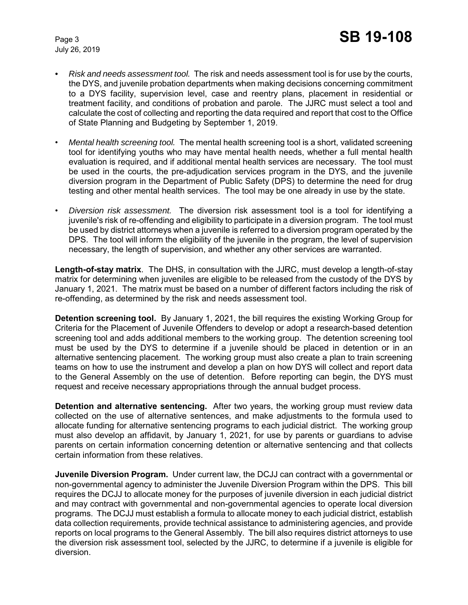- *Risk and needs assessment tool.*The risk and needs assessment tool is for use by the courts, the DYS, and juvenile probation departments when making decisions concerning commitment to a DYS facility, supervision level, case and reentry plans, placement in residential or treatment facility, and conditions of probation and parole. The JJRC must select a tool and calculate the cost of collecting and reporting the data required and report that cost to the Office of State Planning and Budgeting by September 1, 2019.
- *Mental health screening tool.*The mental health screening tool is a short, validated screening tool for identifying youths who may have mental health needs, whether a full mental health evaluation is required, and if additional mental health services are necessary. The tool must be used in the courts, the pre-adjudication services program in the DYS, and the juvenile diversion program in the Department of Public Safety (DPS) to determine the need for drug testing and other mental health services. The tool may be one already in use by the state.
- *Diversion risk assessment.* The diversion risk assessment tool is a tool for identifying a juvenile's risk of re-offending and eligibility to participate in a diversion program. The tool must be used by district attorneys when a juvenile is referred to a diversion program operated by the DPS. The tool will inform the eligibility of the juvenile in the program, the level of supervision necessary, the length of supervision, and whether any other services are warranted.

**Length-of-stay matrix**. The DHS, in consultation with the JJRC, must develop a length-of-stay matrix for determining when juveniles are eligible to be released from the custody of the DYS by January 1, 2021. The matrix must be based on a number of different factors including the risk of re-offending, as determined by the risk and needs assessment tool.

**Detention screening tool.** By January 1, 2021, the bill requires the existing Working Group for Criteria for the Placement of Juvenile Offenders to develop or adopt a research-based detention screening tool and adds additional members to the working group. The detention screening tool must be used by the DYS to determine if a juvenile should be placed in detention or in an alternative sentencing placement. The working group must also create a plan to train screening teams on how to use the instrument and develop a plan on how DYS will collect and report data to the General Assembly on the use of detention. Before reporting can begin, the DYS must request and receive necessary appropriations through the annual budget process.

**Detention and alternative sentencing.** After two years, the working group must review data collected on the use of alternative sentences, and make adjustments to the formula used to allocate funding for alternative sentencing programs to each judicial district. The working group must also develop an affidavit, by January 1, 2021, for use by parents or guardians to advise parents on certain information concerning detention or alternative sentencing and that collects certain information from these relatives.

**Juvenile Diversion Program.** Under current law, the DCJJ can contract with a governmental or non-governmental agency to administer the Juvenile Diversion Program within the DPS. This bill requires the DCJJ to allocate money for the purposes of juvenile diversion in each judicial district and may contract with governmental and non-governmental agencies to operate local diversion programs. The DCJJ must establish a formula to allocate money to each judicial district, establish data collection requirements, provide technical assistance to administering agencies, and provide reports on local programs to the General Assembly. The bill also requires district attorneys to use the diversion risk assessment tool, selected by the JJRC, to determine if a juvenile is eligible for diversion.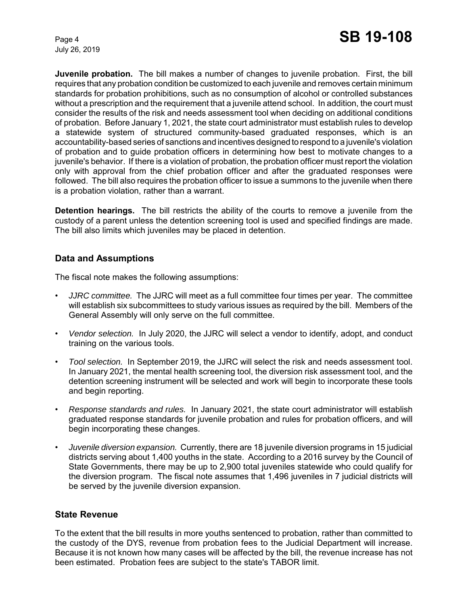**Juvenile probation.** The bill makes a number of changes to juvenile probation. First, the bill requires that any probation condition be customized to each juvenile and removes certain minimum standards for probation prohibitions, such as no consumption of alcohol or controlled substances without a prescription and the requirement that a juvenile attend school. In addition, the court must consider the results of the risk and needs assessment tool when deciding on additional conditions of probation. Before January 1, 2021, the state court administrator must establish rules to develop a statewide system of structured community-based graduated responses, which is an accountability-based series of sanctions and incentives designed to respond to a juvenile's violation of probation and to guide probation officers in determining how best to motivate changes to a juvenile's behavior. If there is a violation of probation, the probation officer must report the violation only with approval from the chief probation officer and after the graduated responses were followed. The bill also requires the probation officer to issue a summons to the juvenile when there is a probation violation, rather than a warrant.

**Detention hearings.** The bill restricts the ability of the courts to remove a juvenile from the custody of a parent unless the detention screening tool is used and specified findings are made. The bill also limits which juveniles may be placed in detention.

### **Data and Assumptions**

The fiscal note makes the following assumptions:

- *JJRC committee.* The JJRC will meet as a full committee four times per year. The committee will establish six subcommittees to study various issues as required by the bill. Members of the General Assembly will only serve on the full committee.
- *Vendor selection.* In July 2020, the JJRC will select a vendor to identify, adopt, and conduct training on the various tools.
- *Tool selection.* In September 2019, the JJRC will select the risk and needs assessment tool. In January 2021, the mental health screening tool, the diversion risk assessment tool, and the detention screening instrument will be selected and work will begin to incorporate these tools and begin reporting.
- *Response standards and rules.* In January 2021, the state court administrator will establish graduated response standards for juvenile probation and rules for probation officers, and will begin incorporating these changes.
- *Juvenile diversion expansion.* Currently, there are 18 juvenile diversion programs in 15 judicial districts serving about 1,400 youths in the state. According to a 2016 survey by the Council of State Governments, there may be up to 2,900 total juveniles statewide who could qualify for the diversion program. The fiscal note assumes that 1,496 juveniles in 7 judicial districts will be served by the juvenile diversion expansion.

### **State Revenue**

To the extent that the bill results in more youths sentenced to probation, rather than committed to the custody of the DYS, revenue from probation fees to the Judicial Department will increase. Because it is not known how many cases will be affected by the bill, the revenue increase has not been estimated. Probation fees are subject to the state's TABOR limit.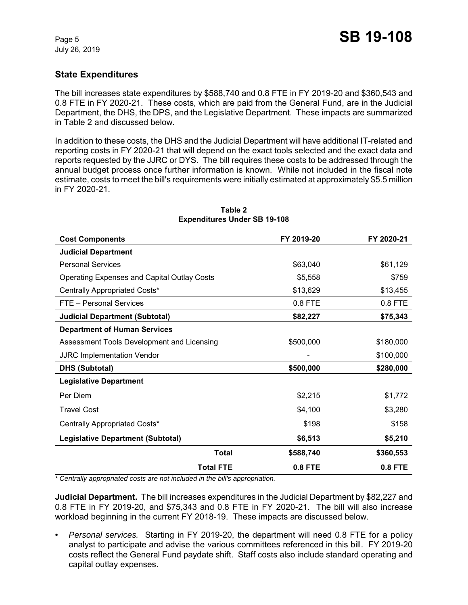### **State Expenditures**

The bill increases state expenditures by \$588,740 and 0.8 FTE in FY 2019-20 and \$360,543 and 0.8 FTE in FY 2020-21. These costs, which are paid from the General Fund, are in the Judicial Department, the DHS, the DPS, and the Legislative Department. These impacts are summarized in Table 2 and discussed below.

In addition to these costs, the DHS and the Judicial Department will have additional IT-related and reporting costs in FY 2020-21 that will depend on the exact tools selected and the exact data and reports requested by the JJRC or DYS. The bill requires these costs to be addressed through the annual budget process once further information is known. While not included in the fiscal note estimate, costs to meet the bill's requirements were initially estimated at approximately \$5.5 million in FY 2020-21.

| <b>Cost Components</b>                             | FY 2019-20     | FY 2020-21     |
|----------------------------------------------------|----------------|----------------|
| <b>Judicial Department</b>                         |                |                |
| <b>Personal Services</b>                           | \$63,040       | \$61,129       |
| <b>Operating Expenses and Capital Outlay Costs</b> | \$5,558        | \$759          |
| Centrally Appropriated Costs*                      | \$13,629       | \$13,455       |
| FTE - Personal Services                            | 0.8 FTE        | 0.8 FTE        |
| <b>Judicial Department (Subtotal)</b>              | \$82,227       | \$75,343       |
| <b>Department of Human Services</b>                |                |                |
| Assessment Tools Development and Licensing         | \$500,000      | \$180,000      |
| <b>JJRC Implementation Vendor</b>                  |                | \$100,000      |
| <b>DHS (Subtotal)</b>                              | \$500,000      | \$280,000      |
| <b>Legislative Department</b>                      |                |                |
| Per Diem                                           | \$2,215        | \$1,772        |
| <b>Travel Cost</b>                                 | \$4,100        | \$3,280        |
| Centrally Appropriated Costs*                      | \$198          | \$158          |
| <b>Legislative Department (Subtotal)</b>           | \$6,513        | \$5,210        |
| Total                                              | \$588,740      | \$360,553      |
| <b>Total FTE</b>                                   | <b>0.8 FTE</b> | <b>0.8 FTE</b> |

#### **Table 2 Expenditures Under SB 19-108**

*\* Centrally appropriated costs are not included in the bill's appropriation.*

**Judicial Department.** The bill increases expenditures in the Judicial Department by \$82,227 and 0.8 FTE in FY 2019-20, and \$75,343 and 0.8 FTE in FY 2020-21. The bill will also increase workload beginning in the current FY 2018-19. These impacts are discussed below.

*• Personal services.* Starting in FY 2019-20, the department will need 0.8 FTE for a policy analyst to participate and advise the various committees referenced in this bill. FY 2019-20 costs reflect the General Fund paydate shift. Staff costs also include standard operating and capital outlay expenses.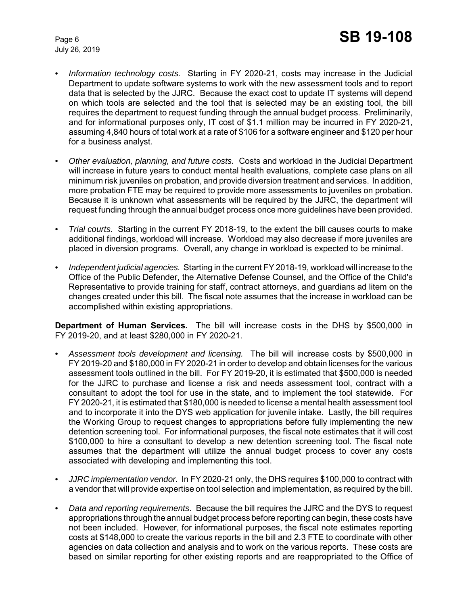- *Information technology costs.* Starting in FY 2020-21, costs may increase in the Judicial Department to update software systems to work with the new assessment tools and to report data that is selected by the JJRC. Because the exact cost to update IT systems will depend on which tools are selected and the tool that is selected may be an existing tool, the bill requires the department to request funding through the annual budget process. Preliminarily, and for informational purposes only, IT cost of \$1.1 million may be incurred in FY 2020-21, assuming 4,840 hours of total work at a rate of \$106 for a software engineer and \$120 per hour for a business analyst.
- *Other evaluation, planning, and future costs.* Costs and workload in the Judicial Department will increase in future years to conduct mental health evaluations, complete case plans on all minimum risk juveniles on probation, and provide diversion treatment and services. In addition, more probation FTE may be required to provide more assessments to juveniles on probation. Because it is unknown what assessments will be required by the JJRC, the department will request funding through the annual budget process once more guidelines have been provided.
- *Trial courts.* Starting in the current FY 2018-19, to the extent the bill causes courts to make additional findings, workload will increase. Workload may also decrease if more juveniles are placed in diversion programs. Overall, any change in workload is expected to be minimal.
- *Independent judicial agencies.* Starting in the current FY 2018-19, workload will increase to the Office of the Public Defender, the Alternative Defense Counsel, and the Office of the Child's Representative to provide training for staff, contract attorneys, and guardians ad litem on the changes created under this bill. The fiscal note assumes that the increase in workload can be accomplished within existing appropriations.

**Department of Human Services.** The bill will increase costs in the DHS by \$500,000 in FY 2019-20, and at least \$280,000 in FY 2020-21.

- *Assessment tools development and licensing.* The bill will increase costs by \$500,000 in FY 2019-20 and \$180,000 in FY 2020-21 in order to develop and obtain licenses for the various assessment tools outlined in the bill. For FY 2019-20, it is estimated that \$500,000 is needed for the JJRC to purchase and license a risk and needs assessment tool, contract with a consultant to adopt the tool for use in the state, and to implement the tool statewide. For FY 2020-21, it is estimated that \$180,000 is needed to license a mental health assessment tool and to incorporate it into the DYS web application for juvenile intake. Lastly, the bill requires the Working Group to request changes to appropriations before fully implementing the new detention screening tool. For informational purposes, the fiscal note estimates that it will cost \$100,000 to hire a consultant to develop a new detention screening tool. The fiscal note assumes that the department will utilize the annual budget process to cover any costs associated with developing and implementing this tool.
- *JJRC implementation vendor.* In FY 2020-21 only, the DHS requires \$100,000 to contract with a vendor that will provide expertise on tool selection and implementation, as required by the bill.
- *Data and reporting requirements*. Because the bill requires the JJRC and the DYS to request appropriations through the annual budget process before reporting can begin, these costs have not been included. However, for informational purposes, the fiscal note estimates reporting costs at \$148,000 to create the various reports in the bill and 2.3 FTE to coordinate with other agencies on data collection and analysis and to work on the various reports. These costs are based on similar reporting for other existing reports and are reappropriated to the Office of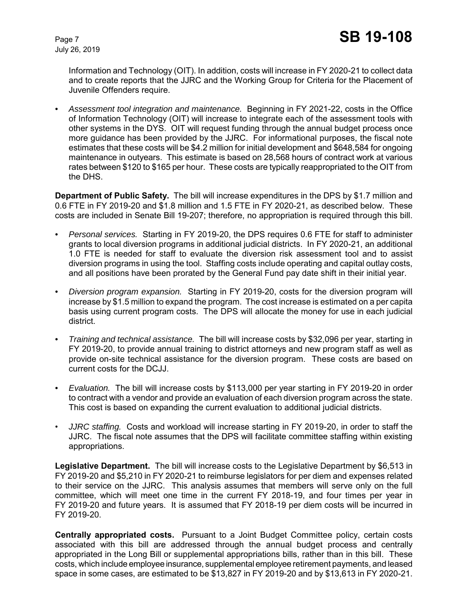Information and Technology (OIT). In addition, costs will increase in FY 2020-21 to collect data and to create reports that the JJRC and the Working Group for Criteria for the Placement of Juvenile Offenders require.

*• Assessment tool integration and maintenance.* Beginning in FY 2021-22, costs in the Office of Information Technology (OIT) will increase to integrate each of the assessment tools with other systems in the DYS. OIT will request funding through the annual budget process once more guidance has been provided by the JJRC. For informational purposes, the fiscal note estimates that these costs will be \$4.2 million for initial development and \$648,584 for ongoing maintenance in outyears. This estimate is based on 28,568 hours of contract work at various rates between \$120 to \$165 per hour. These costs are typically reappropriated to the OIT from the DHS.

**Department of Public Safety.** The bill will increase expenditures in the DPS by \$1.7 million and 0.6 FTE in FY 2019-20 and \$1.8 million and 1.5 FTE in FY 2020-21, as described below. These costs are included in Senate Bill 19-207; therefore, no appropriation is required through this bill.

- *Personal services.* Starting in FY 2019-20, the DPS requires 0.6 FTE for staff to administer grants to local diversion programs in additional judicial districts. In FY 2020-21, an additional 1.0 FTE is needed for staff to evaluate the diversion risk assessment tool and to assist diversion programs in using the tool. Staffing costs include operating and capital outlay costs, and all positions have been prorated by the General Fund pay date shift in their initial year.
- *Diversion program expansion.* Starting in FY 2019-20, costs for the diversion program will increase by \$1.5 million to expand the program. The cost increase is estimated on a per capita basis using current program costs. The DPS will allocate the money for use in each judicial district.
- *Training and technical assistance.* The bill will increase costs by \$32,096 per year, starting in FY 2019-20, to provide annual training to district attorneys and new program staff as well as provide on-site technical assistance for the diversion program. These costs are based on current costs for the DCJJ.
- *Evaluation.* The bill will increase costs by \$113,000 per year starting in FY 2019-20 in order to contract with a vendor and provide an evaluation of each diversion program across the state. This cost is based on expanding the current evaluation to additional judicial districts.
- *JJRC staffing.* Costs and workload will increase starting in FY 2019-20, in order to staff the JJRC. The fiscal note assumes that the DPS will facilitate committee staffing within existing appropriations.

**Legislative Department.** The bill will increase costs to the Legislative Department by \$6,513 in FY 2019-20 and \$5,210 in FY 2020-21 to reimburse legislators for per diem and expenses related to their service on the JJRC. This analysis assumes that members will serve only on the full committee, which will meet one time in the current FY 2018-19, and four times per year in FY 2019-20 and future years. It is assumed that FY 2018-19 per diem costs will be incurred in FY 2019-20.

**Centrally appropriated costs.** Pursuant to a Joint Budget Committee policy, certain costs associated with this bill are addressed through the annual budget process and centrally appropriated in the Long Bill or supplemental appropriations bills, rather than in this bill. These costs, which include employee insurance, supplemental employee retirement payments, and leased space in some cases, are estimated to be \$13,827 in FY 2019-20 and by \$13,613 in FY 2020-21.